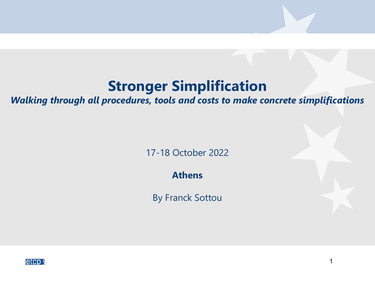*Walking through all procedures, tools and costs to make concrete simplifications*

17-18 October 2022

**Athens**

By Franck Sottou

1

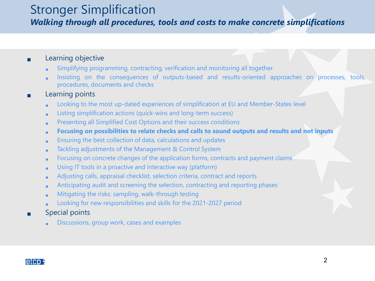*Walking through all procedures, tools and costs to make concrete simplifications*

#### **Learning objective**

- Simplifying programming, contracting, verification and monitoring all together
- Insisting on the consequences of outputs-based and results-oriented approaches on processes, tools, procedures, documents and checks

#### Learning points

- Looking to the most up-dated experiences of simplification at EU and Member-States level
- Listing simplification actions (quick-wins and long-term success)
- Presenting all Simplified Cost Options and their success conditions
- **Focusing on possibilities to relate checks and calls to sound outputs and results and not inputs**
- Ensuring the best collection of data, calculations and updates
- Tackling adjustments of the Management & Control System
- Focusing on concrete changes of the application forms, contracts and payment claims
- Using IT tools in <sup>a</sup> proactive and interactive way (platform)
- Adjusting calls, appraisal checklist, selection criteria, contract and reports
- Anticipating audit and screening the selection, contracting and reporting phases
- Mitigating the risks: sampling, walk-through testing
- Looking for new responsibilities and skills for the 2021-2027 period
- Special points
	- Discussions, group work, cases and examples

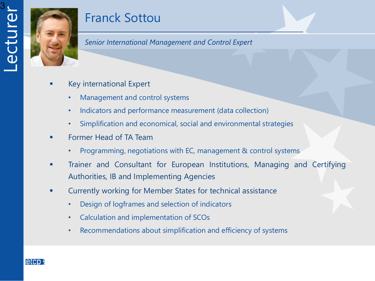

# Franck Sottou

*Senior International Management and Control Expert*

- Key international Expert
	- Management and control systems
	- Indicators and performance measurement (data collection)
	- Simplification and economical, social and environmental strategies
- Former Head of TA Team
	- Programming, negotiations with EC, management & control systems
- Trainer and Consultant for European Institutions, Managing and Certifying Authorities, IB and Implementing Agencies
- **EXED:** Currently working for Member States for technical assistance
	- Design of logframes and selection of indicators
	- Calculation and implementation of SCOs
	- Recommendations about simplification and efficiency of systems

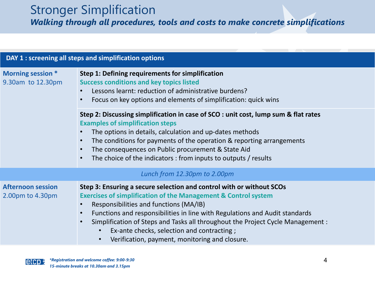*Walking through all procedures, tools and costs to make concrete simplifications*

| DAY 1 : screening all steps and simplification options |                                                                                                                                                                                                                                                                                                                                                                                                                                                                            |  |  |  |
|--------------------------------------------------------|----------------------------------------------------------------------------------------------------------------------------------------------------------------------------------------------------------------------------------------------------------------------------------------------------------------------------------------------------------------------------------------------------------------------------------------------------------------------------|--|--|--|
| Morning session *<br>9.30am to 12.30pm                 | Step 1: Defining requirements for simplification<br><b>Success conditions and key topics listed</b><br>Lessons learnt: reduction of administrative burdens?<br>Focus on key options and elements of simplification: quick wins                                                                                                                                                                                                                                             |  |  |  |
|                                                        | Step 2: Discussing simplification in case of SCO : unit cost, lump sum & flat rates<br><b>Examples of simplification steps</b><br>The options in details, calculation and up-dates methods<br>The conditions for payments of the operation & reporting arrangements<br>$\bullet$<br>The consequences on Public procurement & State Aid<br>The choice of the indicators: from inputs to outputs / results                                                                   |  |  |  |
| Lunch from 12.30pm to 2.00pm                           |                                                                                                                                                                                                                                                                                                                                                                                                                                                                            |  |  |  |
| <b>Afternoon session</b><br>2.00pm to 4.30pm           | Step 3: Ensuring a secure selection and control with or without SCOs<br><b>Exercises of simplification of the Management &amp; Control system</b><br>Responsibilities and functions (MA/IB)<br>Functions and responsibilities in line with Regulations and Audit standards<br>$\bullet$<br>Simplification of Steps and Tasks all throughout the Project Cycle Management :<br>Ex-ante checks, selection and contracting;<br>Verification, payment, monitoring and closure. |  |  |  |

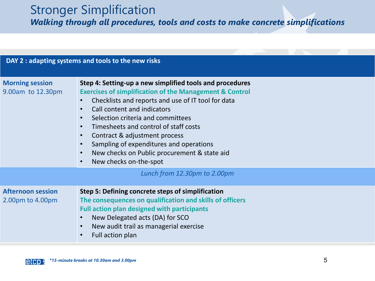*Walking through all procedures, tools and costs to make concrete simplifications*

| DAY 2 : adapting systems and tools to the new risks |                                                                                                                                                                                                                                                                                                                                                                                                                                                                                                                                       |  |  |  |  |
|-----------------------------------------------------|---------------------------------------------------------------------------------------------------------------------------------------------------------------------------------------------------------------------------------------------------------------------------------------------------------------------------------------------------------------------------------------------------------------------------------------------------------------------------------------------------------------------------------------|--|--|--|--|
| <b>Morning session</b><br>9.00am to 12.30pm         | Step 4: Setting-up a new simplified tools and procedures<br><b>Exercises of simplification of the Management &amp; Control</b><br>Checklists and reports and use of IT tool for data<br>$\bullet$<br>Call content and indicators<br>$\bullet$<br>Selection criteria and committees<br>$\bullet$<br>Timesheets and control of staff costs<br>Contract & adjustment process<br>$\bullet$<br>Sampling of expenditures and operations<br>$\bullet$<br>New checks on Public procurement & state aid<br>New checks on-the-spot<br>$\bullet$ |  |  |  |  |
|                                                     | Lunch from 12.30pm to 2.00pm                                                                                                                                                                                                                                                                                                                                                                                                                                                                                                          |  |  |  |  |
| <b>Afternoon session</b><br>2.00pm to 4.00pm        | Step 5: Defining concrete steps of simplification<br>The consequences on qualification and skills of officers<br><b>Full action plan designed with participants</b><br>New Delegated acts (DA) for SCO<br>$\bullet$<br>New audit trail as managerial exercise<br>$\bullet$<br>Full action plan                                                                                                                                                                                                                                        |  |  |  |  |

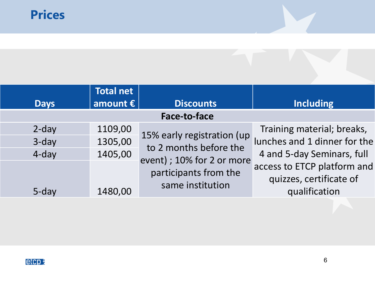|                     | <b>Total net</b>  |                                                      |                              |  |  |  |
|---------------------|-------------------|------------------------------------------------------|------------------------------|--|--|--|
| <b>Days</b>         | amount $\epsilon$ | <b>Discounts</b>                                     | <b>Including</b>             |  |  |  |
| <b>Face-to-face</b> |                   |                                                      |                              |  |  |  |
| $2$ -day            | 1109,00           |                                                      | Training material; breaks,   |  |  |  |
| 3-day               | 1305,00           | 15% early registration (up<br>to 2 months before the | lunches and 1 dinner for the |  |  |  |
| 4-day               | 1405,00           | event) ; 10% for 2 or more                           | 4 and 5-day Seminars, full   |  |  |  |
|                     |                   | participants from the                                | access to ETCP platform and  |  |  |  |
|                     |                   | same institution                                     | quizzes, certificate of      |  |  |  |
| $5$ -day            | 1480,00           |                                                      | qualification                |  |  |  |